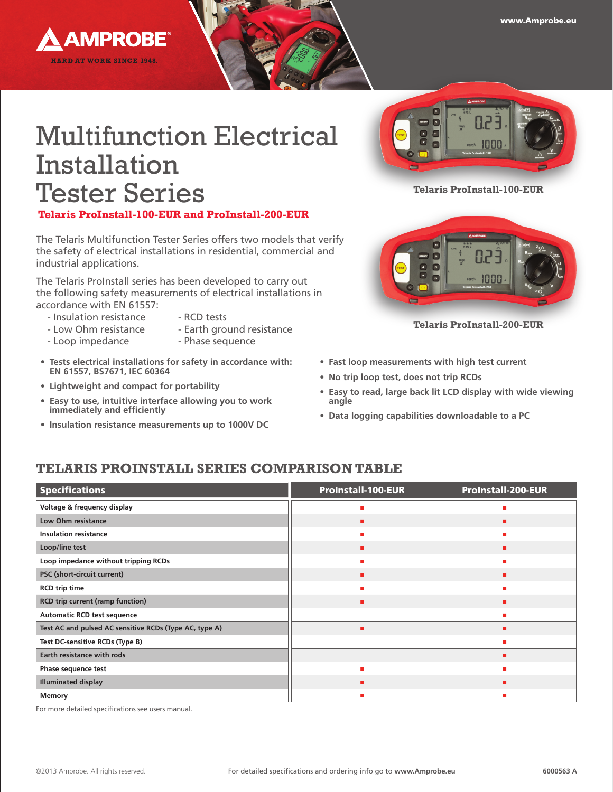

# Multifunction Electrical Installation Tester Series

## **Telaris ProInstall-100-EUR and ProInstall-200-EUR**

The Telaris Multifunction Tester Series offers two models that verify the safety of electrical installations in residential, commercial and industrial applications.

The Telaris ProInstall series has been developed to carry out the following safety measurements of electrical installations in accordance with EN 61557:

- Insulation resistance RCD tests
	-
- 
- Low Ohm resistance Earth ground resistance
	-
- Loop impedance Phase sequence
- **• Tests electrical installations for safety in accordance with: EN 61557, BS7671, IEC 60364**
- **• Lightweight and compact for portability**
- **• Easy to use, intuitive interface allowing you to work immediately and efficiently**
- **• Insulation resistance measurements up to 1000V DC**



**Telaris ProInstall-100-EUR**



**Telaris ProInstall-200-EUR**

- **• Fast loop measurements with high test current**
- **• No trip loop test, does not trip RCDs**
- **• Easy to read, large back lit LCD display with wide viewing angle**
- **• Data logging capabilities downloadable to a PC**

# **Telaris ProInstall SERIES COMPARISON TABLE**

| <b>Specifications</b>                                  | <b>ProInstall-100-EUR</b> | <b>ProInstall-200-EUR</b> |
|--------------------------------------------------------|---------------------------|---------------------------|
| Voltage & frequency display                            |                           |                           |
| <b>Low Ohm resistance</b>                              | п                         |                           |
| <b>Insulation resistance</b>                           | п                         |                           |
| Loop/line test                                         | п                         |                           |
| Loop impedance without tripping RCDs                   |                           |                           |
| PSC (short-circuit current)                            | п                         |                           |
| <b>RCD</b> trip time                                   | п                         | ٠                         |
| <b>RCD trip current (ramp function)</b>                | п                         |                           |
| <b>Automatic RCD test sequence</b>                     |                           | ш                         |
| Test AC and pulsed AC sensitive RCDs (Type AC, type A) | п                         |                           |
| Test DC-sensitive RCDs (Type B)                        |                           |                           |
| <b>Earth resistance with rods</b>                      |                           |                           |
| Phase sequence test                                    | ٠                         |                           |
| <b>Illuminated display</b>                             | п                         |                           |
| Memory                                                 |                           |                           |

For more detailed specifications see users manual.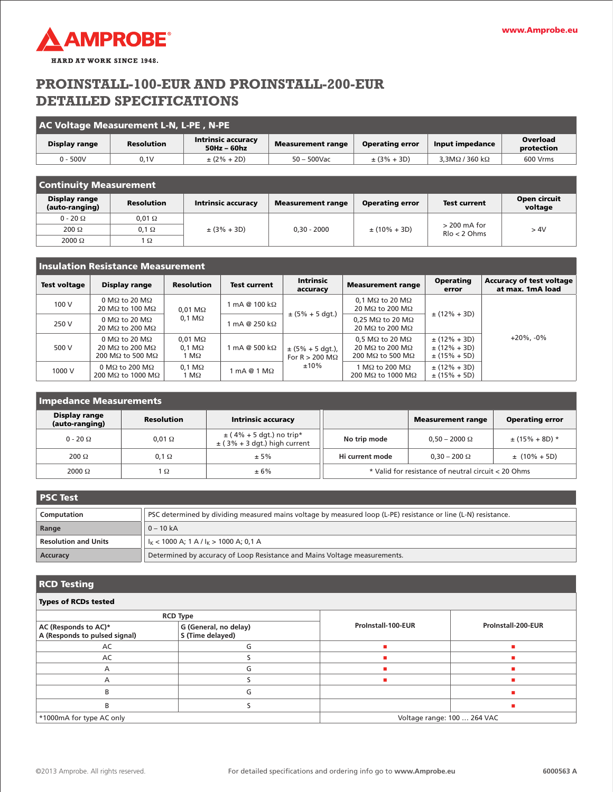

# **ProInstall-100-EUR and ProInstall-200-EUR Detailed Specifications**

| AC Voltage Measurement L-N, L-PE , N-PE |                   |                                            |                          |                        |                          |                        |  |  |  |
|-----------------------------------------|-------------------|--------------------------------------------|--------------------------|------------------------|--------------------------|------------------------|--|--|--|
| Display range                           | <b>Resolution</b> | <b>Intrinsic accuracy</b><br>$50Hz - 60hz$ | <b>Measurement range</b> | <b>Operating error</b> | Input impedance          | Overload<br>protection |  |  |  |
| $0 - 500V$                              | 0.1V              | $\pm (2\% + 2D)$                           | 50 – 500Vac              | $\pm$ (3% + 3D)        | $3.3M\Omega/360 k\Omega$ | 600 Vrms               |  |  |  |

| <b>Continuity Measurement</b>   |                   |                           |                          |                        |                                   |                         |  |  |
|---------------------------------|-------------------|---------------------------|--------------------------|------------------------|-----------------------------------|-------------------------|--|--|
| Display range<br>(auto-ranging) | <b>Resolution</b> | <b>Intrinsic accuracy</b> | <b>Measurement range</b> | <b>Operating error</b> | <b>Test current</b>               | Open circuit<br>voltage |  |  |
| $0 - 20 \Omega$                 | $0,01$ $\Omega$   |                           |                          |                        |                                   |                         |  |  |
| $200 \Omega$                    | $0.1 \Omega$      | $\pm (3\% + 3D)$          | $0.30 - 2000$            | $\pm (10\% + 3D)$      | $>$ 200 mA for<br>$R$ lo < 2 Ohms | >4V                     |  |  |
| $2000 \Omega$                   | $\Omega$          |                           |                          |                        |                                   |                         |  |  |

| l Insulation Resistance Measurement |                                                                      |                                                        |                                    |                                                           |                                                                               |                                                          |                                                     |  |
|-------------------------------------|----------------------------------------------------------------------|--------------------------------------------------------|------------------------------------|-----------------------------------------------------------|-------------------------------------------------------------------------------|----------------------------------------------------------|-----------------------------------------------------|--|
| <b>Test voltage</b>                 | Display range                                                        | <b>Resolution</b>                                      | <b>Test current</b>                | <b>Intrinsic</b><br>accuracy                              | <b>Measurement range</b>                                                      | <b>Operating</b><br>error                                | <b>Accuracy of test voltage</b><br>at max. 1mA load |  |
| 100 V                               | 0 MΩ to 20 MΩ<br>20 MΩ to 100 MΩ                                     | $0.01 \text{ M}\Omega$                                 | 1 mA @ 100 kΩ                      | $0.1 \text{ M}\Omega$ to 20 M $\Omega$<br>20 ΜΩ to 200 ΜΩ |                                                                               |                                                          |                                                     |  |
| 250 V                               | 0 MΩ to 20 MΩ<br>20 MΩ to 200 MΩ                                     | $0,1 \text{ M}\Omega$                                  | $mA@250k\Omega$                    | $\pm$ (5% + 5 dgt.)                                       | $0.25 \text{ M}\Omega$ to 20 M $\Omega$<br>20 MΩ to 200 MΩ                    | $\pm$ (12% + 3D)                                         |                                                     |  |
| 500 V                               | 0 MΩ to 20 MΩ<br>20 MΩ to 200 MΩ<br>200 M $\Omega$ to 500 M $\Omega$ | $0.01 \text{ M}\Omega$<br>$0.1 \text{ M}\Omega$<br>IMΩ | 1 mA @ 500 kΩ                      | $\pm$ (5% + 5 dgt.),<br>For R $> 200$ M $\Omega$          | $0.5 \text{ M}\Omega$ to 20 M $\Omega$<br>20 MΩ to 200 MΩ<br>200 MΩ to 500 MΩ | $\pm$ (12% + 3D)<br>$\pm$ (12% + 3D)<br>$\pm$ (15% + 5D) | $+20\%$ . -0%                                       |  |
| 1000 V                              | 0 MΩ to 200 MΩ<br>200 MΩ to 1000 MΩ                                  | $0,1 \text{ M}\Omega$<br>$\Omega$ M                    | $1 \text{ mA} @ 1 \text{ M}\Omega$ | $±10\%$                                                   | l MΩ to 200 MΩ<br>200 MΩ to 1000 MΩ                                           | $\pm$ (12% + 3D)<br>$\pm$ (15% + 5D)                     |                                                     |  |

| <b>Impedance Measurements</b>   |                   |                                                                  |                                                     |                          |                        |  |  |  |
|---------------------------------|-------------------|------------------------------------------------------------------|-----------------------------------------------------|--------------------------|------------------------|--|--|--|
| Display range<br>(auto-ranging) | <b>Resolution</b> | <b>Intrinsic accuracy</b>                                        |                                                     | <b>Measurement range</b> | <b>Operating error</b> |  |  |  |
| $0 - 20 \Omega$                 | $0.01 \Omega$     | $\pm$ (4% + 5 dgt.) no trip*<br>$\pm$ (3% + 3 dgt.) high current | No trip mode                                        | $0.50 - 2000 \Omega$     | $\pm$ (15% + 8D) *     |  |  |  |
| $200 \Omega$                    | $0.1 \Omega$      | ± 5%                                                             | Hi current mode                                     | $0.30 - 200 \Omega$      | $\pm$ (10% + 5D)       |  |  |  |
| 2000 $\Omega$                   | ١Ω                | ± 6%                                                             | * Valid for resistance of neutral circuit < 20 Ohms |                          |                        |  |  |  |

| I PSC Test                  |                                                                                                                |  |  |  |  |
|-----------------------------|----------------------------------------------------------------------------------------------------------------|--|--|--|--|
| Computation                 | PSC determined by dividing measured mains voltage by measured loop (L-PE) resistance or line (L-N) resistance. |  |  |  |  |
| Range                       | $0 - 10 kA$                                                                                                    |  |  |  |  |
| <b>Resolution and Units</b> | $I_{K}$ < 1000 A; 1 A / $I_{K}$ > 1000 A; 0,1 A                                                                |  |  |  |  |
| Accuracy                    | Determined by accuracy of Loop Resistance and Mains Voltage measurements.                                      |  |  |  |  |

#### **RCD Testing**

| <b>Types of RCDs tested</b>                                                                        |                 |                    |                             |  |  |  |  |
|----------------------------------------------------------------------------------------------------|-----------------|--------------------|-----------------------------|--|--|--|--|
|                                                                                                    | <b>RCD Type</b> |                    |                             |  |  |  |  |
| G (General, no delay)<br>AC (Responds to AC)*<br>A (Responds to pulsed signal)<br>S (Time delayed) |                 | ProInstall-100-EUR | ProInstall-200-EUR          |  |  |  |  |
| AC                                                                                                 |                 |                    |                             |  |  |  |  |
| AC                                                                                                 |                 |                    |                             |  |  |  |  |
| A                                                                                                  |                 |                    |                             |  |  |  |  |
| А                                                                                                  |                 |                    |                             |  |  |  |  |
| R                                                                                                  | G               |                    |                             |  |  |  |  |
| B                                                                                                  |                 |                    |                             |  |  |  |  |
| *1000mA for type AC only                                                                           |                 |                    | Voltage range: 100  264 VAC |  |  |  |  |